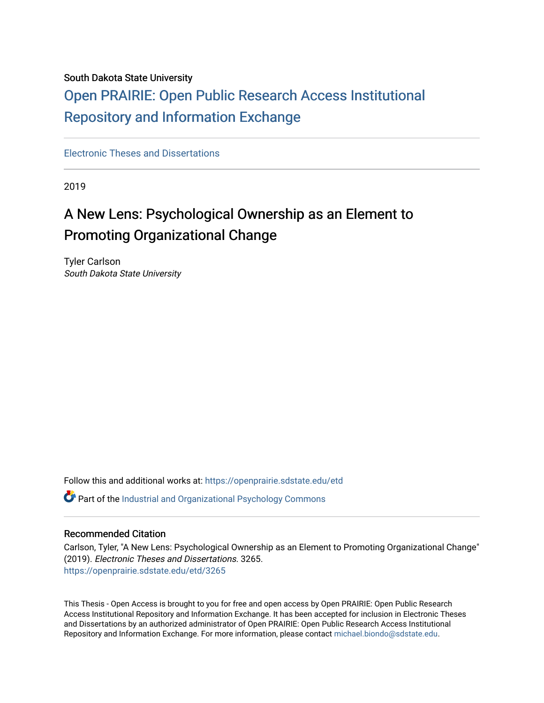### South Dakota State University

# [Open PRAIRIE: Open Public Research Access Institutional](https://openprairie.sdstate.edu/)  [Repository and Information Exchange](https://openprairie.sdstate.edu/)

[Electronic Theses and Dissertations](https://openprairie.sdstate.edu/etd)

2019

# A New Lens: Psychological Ownership as an Element to Promoting Organizational Change

Tyler Carlson South Dakota State University

Follow this and additional works at: [https://openprairie.sdstate.edu/etd](https://openprairie.sdstate.edu/etd?utm_source=openprairie.sdstate.edu%2Fetd%2F3265&utm_medium=PDF&utm_campaign=PDFCoverPages)

Part of the [Industrial and Organizational Psychology Commons](https://network.bepress.com/hgg/discipline/412?utm_source=openprairie.sdstate.edu%2Fetd%2F3265&utm_medium=PDF&utm_campaign=PDFCoverPages) 

#### Recommended Citation

Carlson, Tyler, "A New Lens: Psychological Ownership as an Element to Promoting Organizational Change" (2019). Electronic Theses and Dissertations. 3265. [https://openprairie.sdstate.edu/etd/3265](https://openprairie.sdstate.edu/etd/3265?utm_source=openprairie.sdstate.edu%2Fetd%2F3265&utm_medium=PDF&utm_campaign=PDFCoverPages) 

This Thesis - Open Access is brought to you for free and open access by Open PRAIRIE: Open Public Research Access Institutional Repository and Information Exchange. It has been accepted for inclusion in Electronic Theses and Dissertations by an authorized administrator of Open PRAIRIE: Open Public Research Access Institutional Repository and Information Exchange. For more information, please contact [michael.biondo@sdstate.edu.](mailto:michael.biondo@sdstate.edu)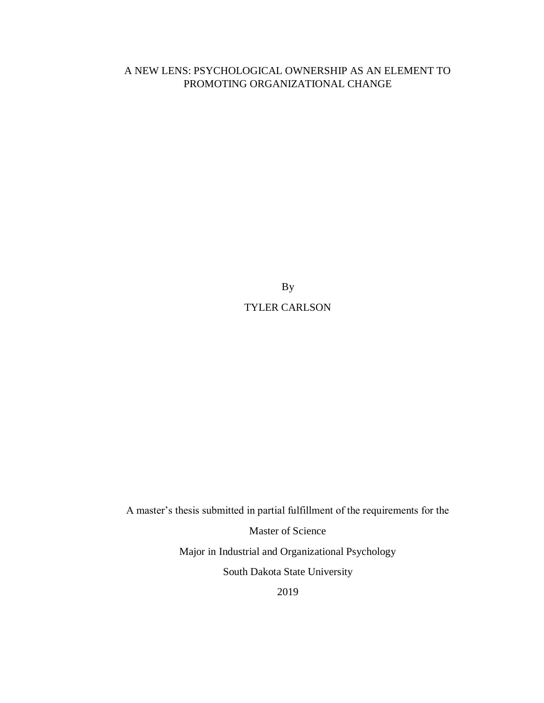# A NEW LENS: PSYCHOLOGICAL OWNERSHIP AS AN ELEMENT TO PROMOTING ORGANIZATIONAL CHANGE

By TYLER CARLSON

A master's thesis submitted in partial fulfillment of the requirements for the Master of Science Major in Industrial and Organizational Psychology South Dakota State University

2019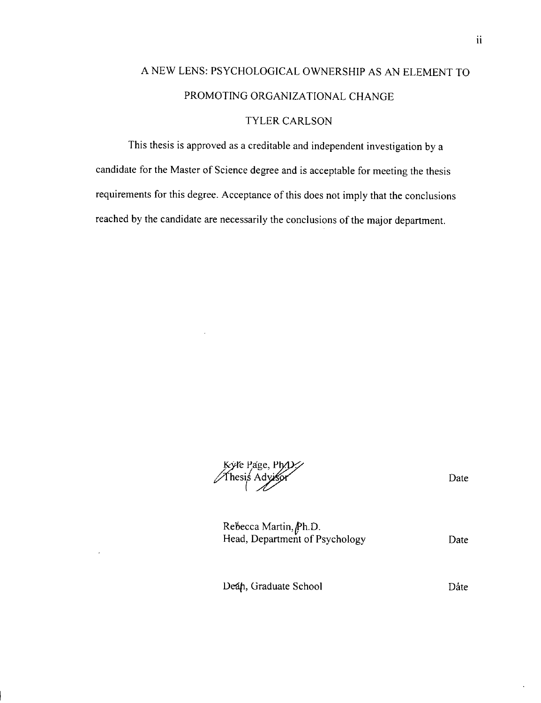# A NEW LENS: PSYCHOLOGICAL OWNERSHIP AS AN ELEMENT TO PROMOTING ORGANIZATIONAL CHANGE TYLER CARLSON

This thesis is approved as a creditable and independent investigation by a candidate for the Master of Science degree and is acceptable for meeting the thesis requirements for this degree. Acceptance of this does not imply that the conclusions reached by the candidate are necessarily the conclusions of the major department.

Kyle Page, Ph.D.<br>Thesis Advisor

Date

Rebecca Martin, Ph.D.<br>Head, Department of Psychology Date

Deán, Graduate School

Date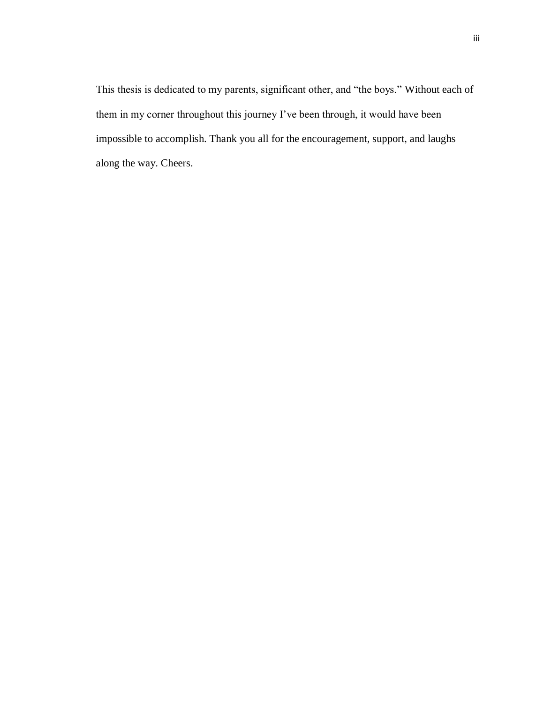This thesis is dedicated to my parents, significant other, and "the boys." Without each of them in my corner throughout this journey I've been through, it would have been impossible to accomplish. Thank you all for the encouragement, support, and laughs along the way. Cheers.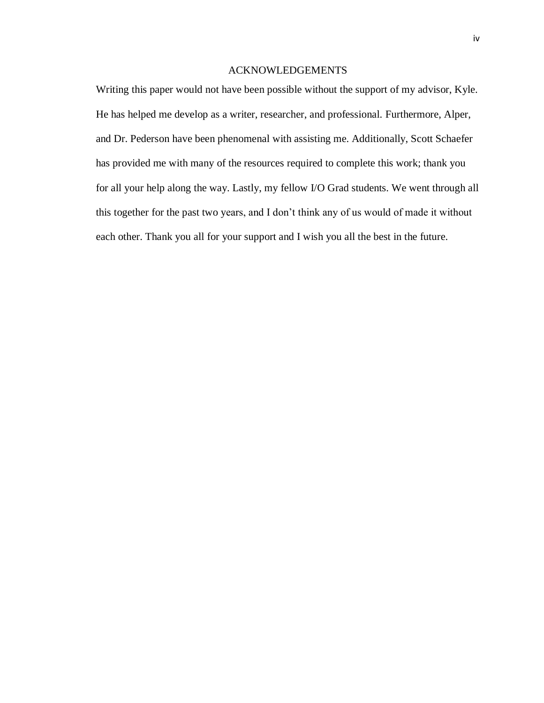## ACKNOWLEDGEMENTS

Writing this paper would not have been possible without the support of my advisor, Kyle. He has helped me develop as a writer, researcher, and professional. Furthermore, Alper, and Dr. Pederson have been phenomenal with assisting me. Additionally, Scott Schaefer has provided me with many of the resources required to complete this work; thank you for all your help along the way. Lastly, my fellow I/O Grad students. We went through all this together for the past two years, and I don't think any of us would of made it without each other. Thank you all for your support and I wish you all the best in the future.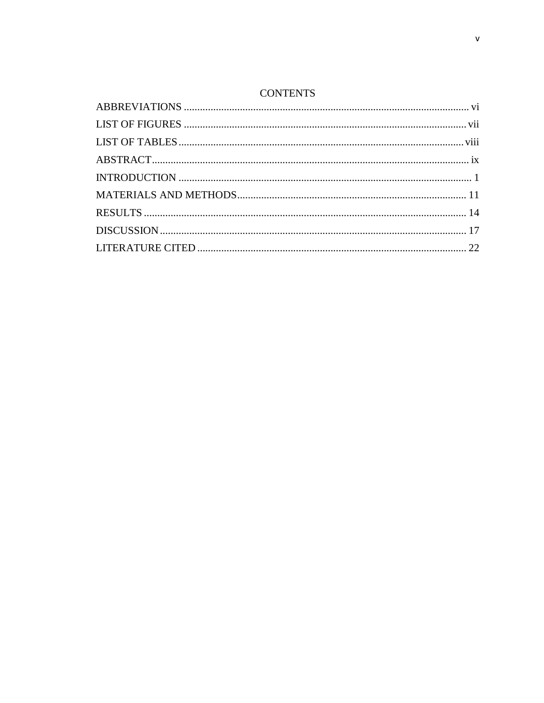## **CONTENTS**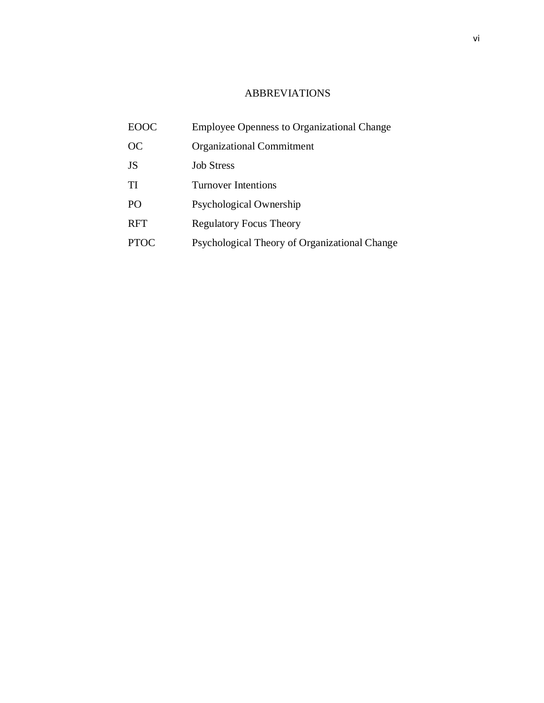# ABBREVIATIONS

<span id="page-6-0"></span>

| <b>EOOC</b> | <b>Employee Openness to Organizational Change</b> |
|-------------|---------------------------------------------------|
| OC          | <b>Organizational Commitment</b>                  |
| <b>JS</b>   | <b>Job Stress</b>                                 |
| TI          | Turnover Intentions                               |
| PO          | Psychological Ownership                           |
| <b>RFT</b>  | <b>Regulatory Focus Theory</b>                    |
| <b>PTOC</b> | Psychological Theory of Organizational Change     |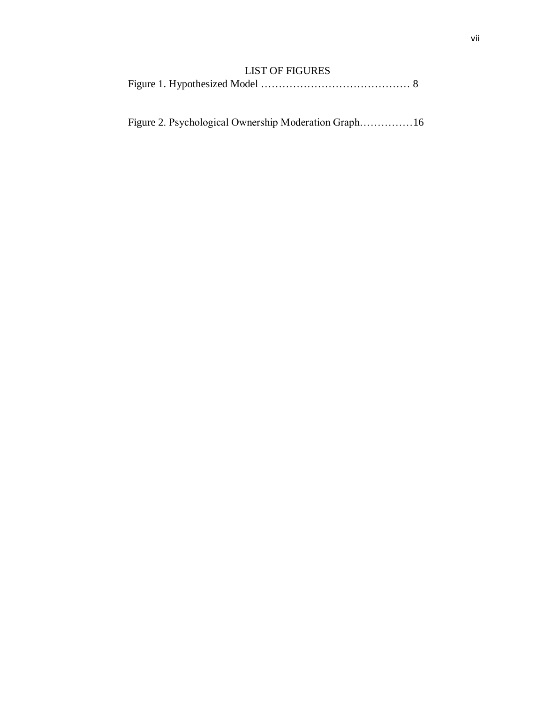# LIST OF FIGURES

<span id="page-7-0"></span>

|--|--|--|--|

Figure 2. Psychological Ownership Moderation Graph……………16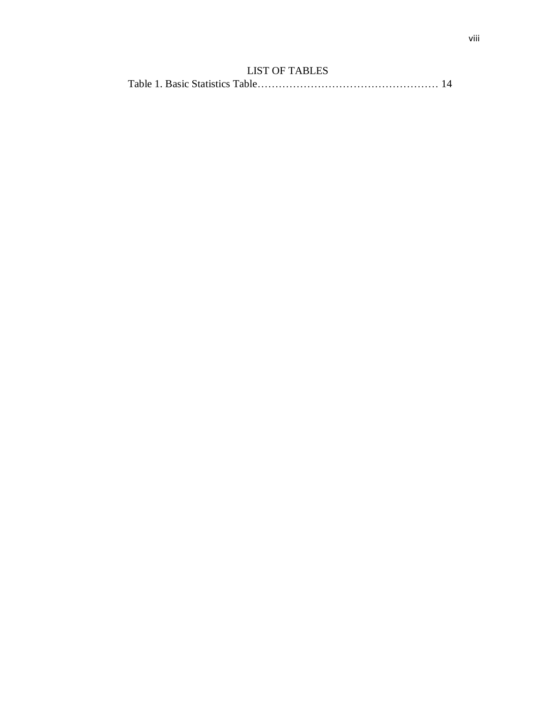# LIST OF TABLES

<span id="page-8-0"></span>

|--|--|--|--|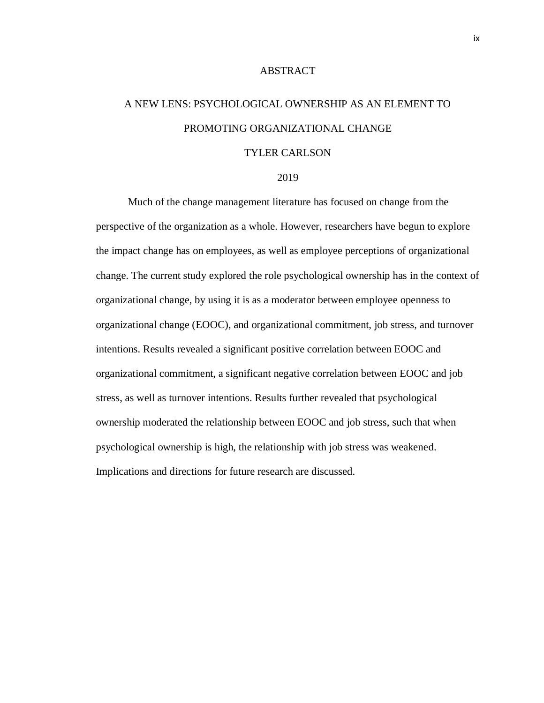#### ABSTRACT

# <span id="page-9-0"></span>A NEW LENS: PSYCHOLOGICAL OWNERSHIP AS AN ELEMENT TO PROMOTING ORGANIZATIONAL CHANGE

### TYLER CARLSON

#### 2019

Much of the change management literature has focused on change from the perspective of the organization as a whole. However, researchers have begun to explore the impact change has on employees, as well as employee perceptions of organizational change. The current study explored the role psychological ownership has in the context of organizational change, by using it is as a moderator between employee openness to organizational change (EOOC), and organizational commitment, job stress, and turnover intentions. Results revealed a significant positive correlation between EOOC and organizational commitment, a significant negative correlation between EOOC and job stress, as well as turnover intentions. Results further revealed that psychological ownership moderated the relationship between EOOC and job stress, such that when psychological ownership is high, the relationship with job stress was weakened. Implications and directions for future research are discussed.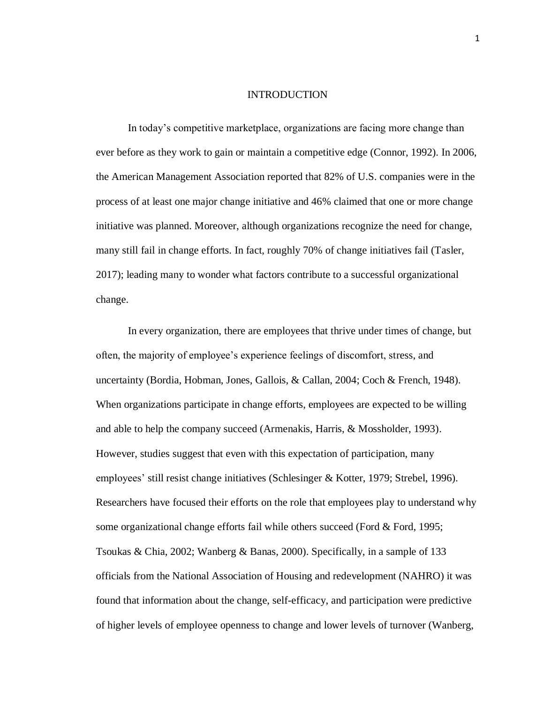#### **INTRODUCTION**

<span id="page-10-0"></span>In today's competitive marketplace, organizations are facing more change than ever before as they work to gain or maintain a competitive edge (Connor, 1992). In 2006, the American Management Association reported that 82% of U.S. companies were in the process of at least one major change initiative and 46% claimed that one or more change initiative was planned. Moreover, although organizations recognize the need for change, many still fail in change efforts. In fact, roughly 70% of change initiatives fail (Tasler, 2017); leading many to wonder what factors contribute to a successful organizational change.

In every organization, there are employees that thrive under times of change, but often, the majority of employee's experience feelings of discomfort, stress, and uncertainty (Bordia, Hobman, Jones, Gallois, & Callan, 2004; Coch & French, 1948). When organizations participate in change efforts, employees are expected to be willing and able to help the company succeed (Armenakis, Harris, & Mossholder, 1993). However, studies suggest that even with this expectation of participation, many employees' still resist change initiatives (Schlesinger & Kotter, 1979; Strebel, 1996). Researchers have focused their efforts on the role that employees play to understand why some organizational change efforts fail while others succeed (Ford & Ford, 1995; Tsoukas & Chia, 2002; Wanberg & Banas, 2000). Specifically, in a sample of 133 officials from the National Association of Housing and redevelopment (NAHRO) it was found that information about the change, self-efficacy, and participation were predictive of higher levels of employee openness to change and lower levels of turnover (Wanberg,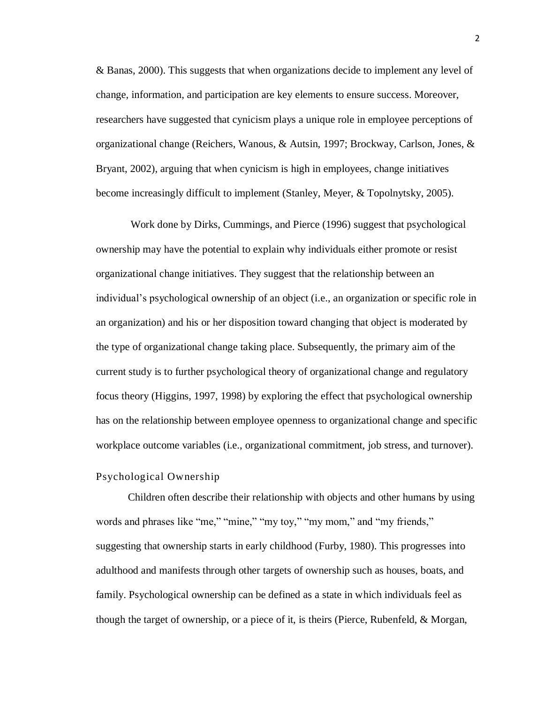& Banas, 2000). This suggests that when organizations decide to implement any level of change, information, and participation are key elements to ensure success. Moreover, researchers have suggested that cynicism plays a unique role in employee perceptions of organizational change (Reichers, Wanous, & Autsin, 1997; Brockway, Carlson, Jones, & Bryant, 2002), arguing that when cynicism is high in employees, change initiatives become increasingly difficult to implement (Stanley, Meyer, & Topolnytsky, 2005).

Work done by Dirks, Cummings, and Pierce (1996) suggest that psychological ownership may have the potential to explain why individuals either promote or resist organizational change initiatives. They suggest that the relationship between an individual's psychological ownership of an object (i.e., an organization or specific role in an organization) and his or her disposition toward changing that object is moderated by the type of organizational change taking place. Subsequently, the primary aim of the current study is to further psychological theory of organizational change and regulatory focus theory (Higgins, 1997, 1998) by exploring the effect that psychological ownership has on the relationship between employee openness to organizational change and specific workplace outcome variables (i.e., organizational commitment, job stress, and turnover).

#### Psychological Ownership

Children often describe their relationship with objects and other humans by using words and phrases like "me," "mine," "my toy," "my mom," and "my friends," suggesting that ownership starts in early childhood (Furby, 1980). This progresses into adulthood and manifests through other targets of ownership such as houses, boats, and family. Psychological ownership can be defined as a state in which individuals feel as though the target of ownership, or a piece of it, is theirs (Pierce, Rubenfeld, & Morgan,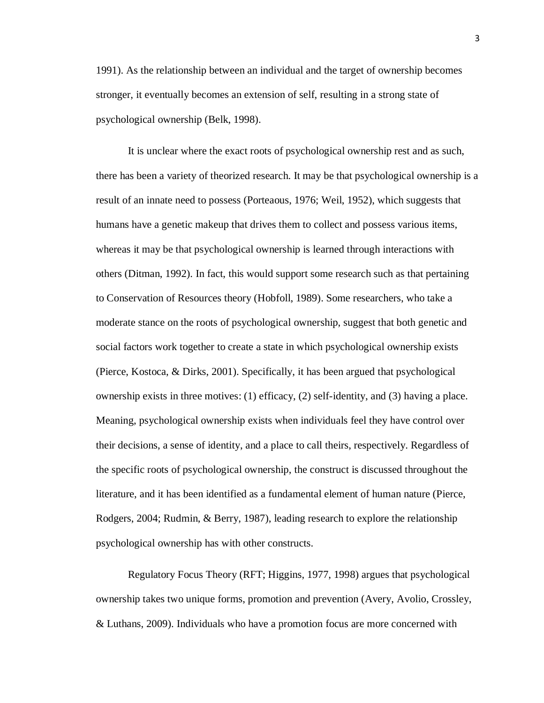1991). As the relationship between an individual and the target of ownership becomes stronger, it eventually becomes an extension of self, resulting in a strong state of psychological ownership (Belk, 1998).

It is unclear where the exact roots of psychological ownership rest and as such, there has been a variety of theorized research. It may be that psychological ownership is a result of an innate need to possess (Porteaous, 1976; Weil, 1952), which suggests that humans have a genetic makeup that drives them to collect and possess various items, whereas it may be that psychological ownership is learned through interactions with others (Ditman, 1992). In fact, this would support some research such as that pertaining to Conservation of Resources theory (Hobfoll, 1989). Some researchers, who take a moderate stance on the roots of psychological ownership, suggest that both genetic and social factors work together to create a state in which psychological ownership exists (Pierce, Kostoca, & Dirks, 2001). Specifically, it has been argued that psychological ownership exists in three motives: (1) efficacy, (2) self-identity, and (3) having a place. Meaning, psychological ownership exists when individuals feel they have control over their decisions, a sense of identity, and a place to call theirs, respectively. Regardless of the specific roots of psychological ownership, the construct is discussed throughout the literature, and it has been identified as a fundamental element of human nature (Pierce, Rodgers, 2004; Rudmin, & Berry, 1987), leading research to explore the relationship psychological ownership has with other constructs.

Regulatory Focus Theory (RFT; Higgins, 1977, 1998) argues that psychological ownership takes two unique forms, promotion and prevention (Avery, Avolio, Crossley, & Luthans, 2009). Individuals who have a promotion focus are more concerned with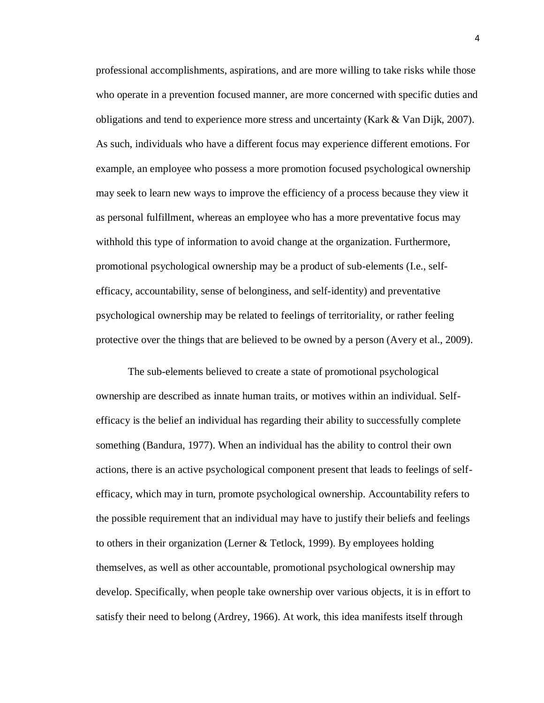professional accomplishments, aspirations, and are more willing to take risks while those who operate in a prevention focused manner, are more concerned with specific duties and obligations and tend to experience more stress and uncertainty (Kark & Van Dijk, 2007). As such, individuals who have a different focus may experience different emotions. For example, an employee who possess a more promotion focused psychological ownership may seek to learn new ways to improve the efficiency of a process because they view it as personal fulfillment, whereas an employee who has a more preventative focus may withhold this type of information to avoid change at the organization. Furthermore, promotional psychological ownership may be a product of sub-elements (I.e., selfefficacy, accountability, sense of belonginess, and self-identity) and preventative psychological ownership may be related to feelings of territoriality, or rather feeling protective over the things that are believed to be owned by a person (Avery et al., 2009).

The sub-elements believed to create a state of promotional psychological ownership are described as innate human traits, or motives within an individual. Selfefficacy is the belief an individual has regarding their ability to successfully complete something (Bandura, 1977). When an individual has the ability to control their own actions, there is an active psychological component present that leads to feelings of selfefficacy, which may in turn, promote psychological ownership. Accountability refers to the possible requirement that an individual may have to justify their beliefs and feelings to others in their organization (Lerner & Tetlock, 1999). By employees holding themselves, as well as other accountable, promotional psychological ownership may develop. Specifically, when people take ownership over various objects, it is in effort to satisfy their need to belong (Ardrey, 1966). At work, this idea manifests itself through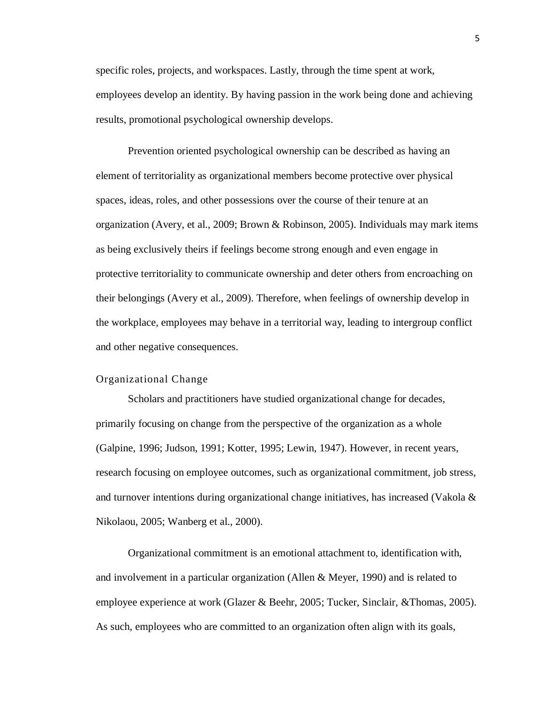specific roles, projects, and workspaces. Lastly, through the time spent at work, employees develop an identity. By having passion in the work being done and achieving results, promotional psychological ownership develops.

Prevention oriented psychological ownership can be described as having an element of territoriality as organizational members become protective over physical spaces, ideas, roles, and other possessions over the course of their tenure at an organization (Avery, et al., 2009; Brown & Robinson, 2005). Individuals may mark items as being exclusively theirs if feelings become strong enough and even engage in protective territoriality to communicate ownership and deter others from encroaching on their belongings (Avery et al., 2009). Therefore, when feelings of ownership develop in the workplace, employees may behave in a territorial way, leading to intergroup conflict and other negative consequences.

#### Organizational Change

Scholars and practitioners have studied organizational change for decades, primarily focusing on change from the perspective of the organization as a whole (Galpine, 1996; Judson, 1991; Kotter, 1995; Lewin, 1947). However, in recent years, research focusing on employee outcomes, such as organizational commitment, job stress, and turnover intentions during organizational change initiatives, has increased (Vakola & Nikolaou, 2005; Wanberg et al., 2000).

Organizational commitment is an emotional attachment to, identification with, and involvement in a particular organization (Allen & Meyer, 1990) and is related to employee experience at work (Glazer & Beehr, 2005; Tucker, Sinclair, &Thomas, 2005). As such, employees who are committed to an organization often align with its goals,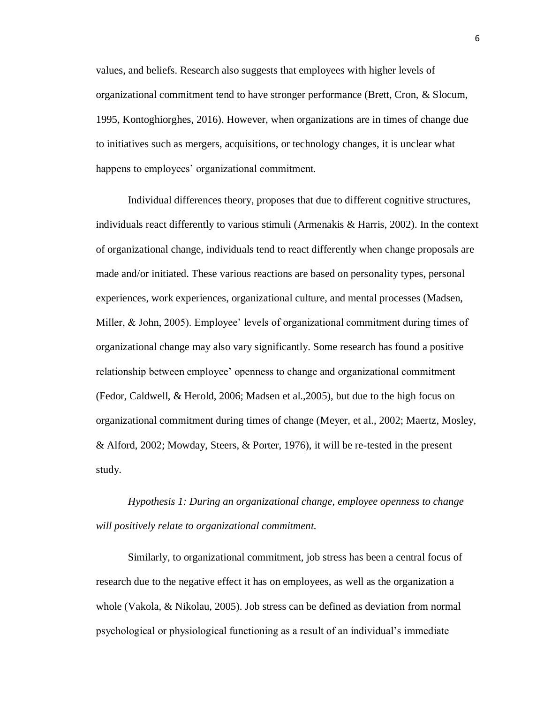values, and beliefs. Research also suggests that employees with higher levels of organizational commitment tend to have stronger performance (Brett, Cron, & Slocum, 1995, Kontoghiorghes, 2016). However, when organizations are in times of change due to initiatives such as mergers, acquisitions, or technology changes, it is unclear what happens to employees' organizational commitment.

Individual differences theory, proposes that due to different cognitive structures, individuals react differently to various stimuli (Armenakis & Harris, 2002). In the context of organizational change, individuals tend to react differently when change proposals are made and/or initiated. These various reactions are based on personality types, personal experiences, work experiences, organizational culture, and mental processes (Madsen, Miller, & John, 2005). Employee' levels of organizational commitment during times of organizational change may also vary significantly. Some research has found a positive relationship between employee' openness to change and organizational commitment (Fedor, Caldwell, & Herold, 2006; Madsen et al.,2005), but due to the high focus on organizational commitment during times of change (Meyer, et al., 2002; Maertz, Mosley, & Alford, 2002; Mowday, Steers, & Porter, 1976), it will be re-tested in the present study.

*Hypothesis 1: During an organizational change, employee openness to change will positively relate to organizational commitment.*

Similarly, to organizational commitment, job stress has been a central focus of research due to the negative effect it has on employees, as well as the organization a whole (Vakola, & Nikolau, 2005). Job stress can be defined as deviation from normal psychological or physiological functioning as a result of an individual's immediate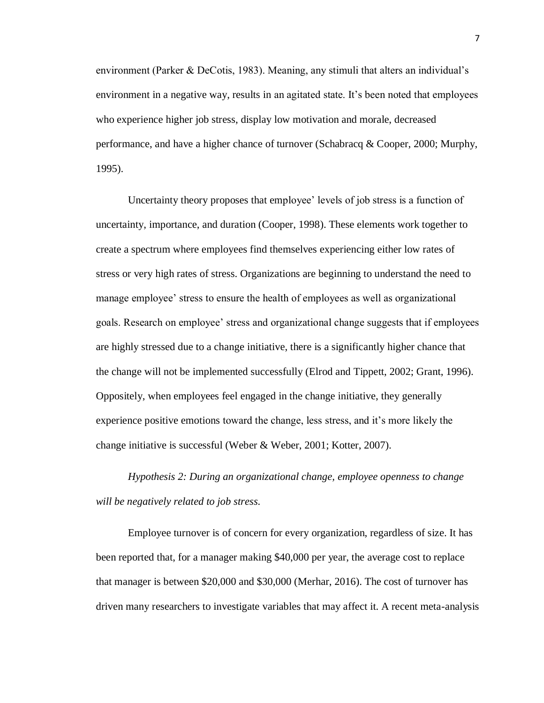environment (Parker & DeCotis, 1983). Meaning, any stimuli that alters an individual's environment in a negative way, results in an agitated state. It's been noted that employees who experience higher job stress, display low motivation and morale, decreased performance, and have a higher chance of turnover (Schabracq & Cooper, 2000; Murphy, 1995).

Uncertainty theory proposes that employee' levels of job stress is a function of uncertainty, importance, and duration (Cooper, 1998). These elements work together to create a spectrum where employees find themselves experiencing either low rates of stress or very high rates of stress. Organizations are beginning to understand the need to manage employee' stress to ensure the health of employees as well as organizational goals. Research on employee' stress and organizational change suggests that if employees are highly stressed due to a change initiative, there is a significantly higher chance that the change will not be implemented successfully (Elrod and Tippett, 2002; Grant, 1996). Oppositely, when employees feel engaged in the change initiative, they generally experience positive emotions toward the change, less stress, and it's more likely the change initiative is successful (Weber & Weber, 2001; Kotter, 2007).

*Hypothesis 2: During an organizational change, employee openness to change will be negatively related to job stress.*

Employee turnover is of concern for every organization, regardless of size. It has been reported that, for a manager making \$40,000 per year, the average cost to replace that manager is between \$20,000 and \$30,000 (Merhar, 2016). The cost of turnover has driven many researchers to investigate variables that may affect it. A recent meta-analysis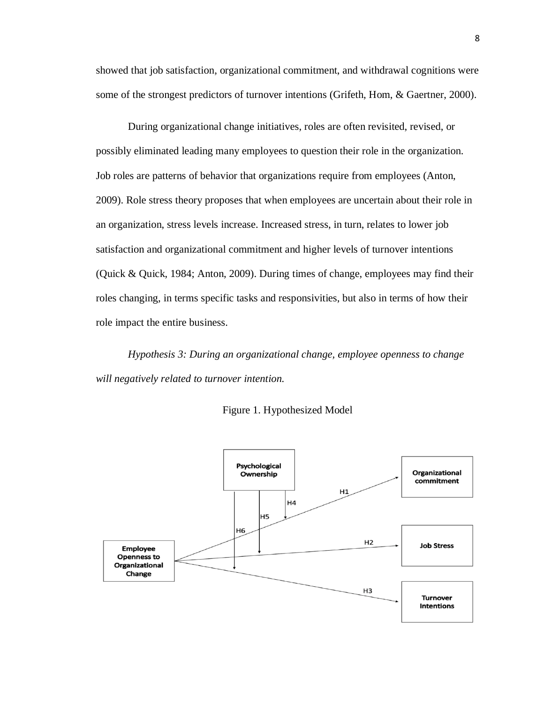showed that job satisfaction, organizational commitment, and withdrawal cognitions were some of the strongest predictors of turnover intentions (Grifeth, Hom, & Gaertner, 2000).

During organizational change initiatives, roles are often revisited, revised, or possibly eliminated leading many employees to question their role in the organization. Job roles are patterns of behavior that organizations require from employees (Anton, 2009). Role stress theory proposes that when employees are uncertain about their role in an organization, stress levels increase. Increased stress, in turn, relates to lower job satisfaction and organizational commitment and higher levels of turnover intentions (Quick & Quick, 1984; Anton, 2009). During times of change, employees may find their roles changing, in terms specific tasks and responsivities, but also in terms of how their role impact the entire business.

*Hypothesis 3: During an organizational change, employee openness to change will negatively related to turnover intention.* 



Figure 1. Hypothesized Model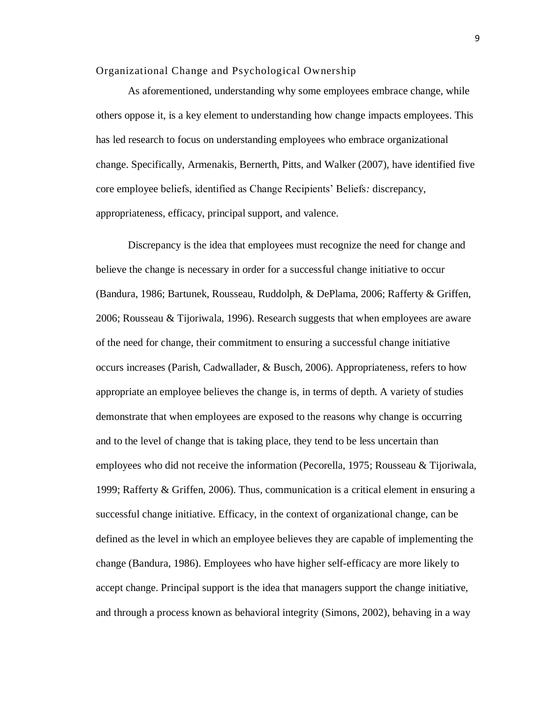#### Organizational Change and Psychological Ownership

As aforementioned, understanding why some employees embrace change, while others oppose it, is a key element to understanding how change impacts employees. This has led research to focus on understanding employees who embrace organizational change. Specifically, Armenakis, Bernerth, Pitts, and Walker (2007), have identified five core employee beliefs, identified as Change Recipients' Beliefs*:* discrepancy, appropriateness, efficacy, principal support, and valence.

Discrepancy is the idea that employees must recognize the need for change and believe the change is necessary in order for a successful change initiative to occur (Bandura, 1986; Bartunek, Rousseau, Ruddolph, & DePlama, 2006; Rafferty & Griffen, 2006; Rousseau & Tijoriwala, 1996). Research suggests that when employees are aware of the need for change, their commitment to ensuring a successful change initiative occurs increases (Parish, Cadwallader, & Busch, 2006). Appropriateness, refers to how appropriate an employee believes the change is, in terms of depth. A variety of studies demonstrate that when employees are exposed to the reasons why change is occurring and to the level of change that is taking place, they tend to be less uncertain than employees who did not receive the information (Pecorella, 1975; Rousseau & Tijoriwala, 1999; Rafferty & Griffen, 2006). Thus, communication is a critical element in ensuring a successful change initiative. Efficacy, in the context of organizational change, can be defined as the level in which an employee believes they are capable of implementing the change (Bandura, 1986). Employees who have higher self-efficacy are more likely to accept change. Principal support is the idea that managers support the change initiative, and through a process known as behavioral integrity (Simons, 2002), behaving in a way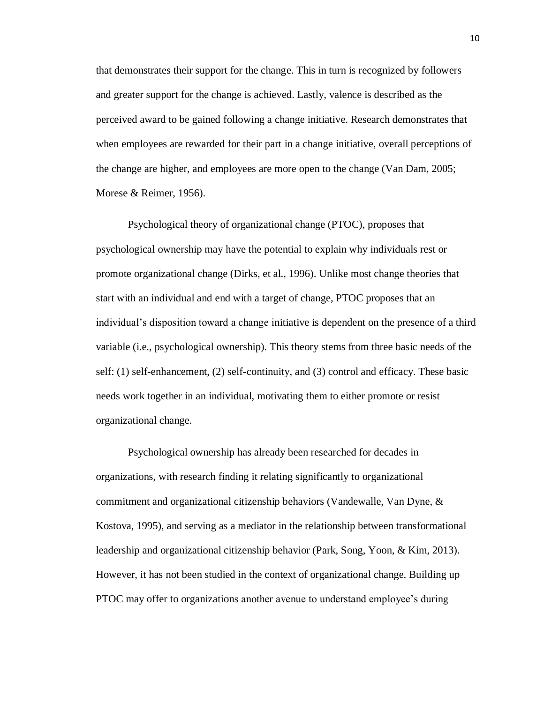that demonstrates their support for the change. This in turn is recognized by followers and greater support for the change is achieved. Lastly, valence is described as the perceived award to be gained following a change initiative. Research demonstrates that when employees are rewarded for their part in a change initiative, overall perceptions of the change are higher, and employees are more open to the change (Van Dam, 2005; Morese & Reimer, 1956).

Psychological theory of organizational change (PTOC), proposes that psychological ownership may have the potential to explain why individuals rest or promote organizational change (Dirks, et al., 1996). Unlike most change theories that start with an individual and end with a target of change, PTOC proposes that an individual's disposition toward a change initiative is dependent on the presence of a third variable (i.e., psychological ownership). This theory stems from three basic needs of the self: (1) self-enhancement, (2) self-continuity, and (3) control and efficacy. These basic needs work together in an individual, motivating them to either promote or resist organizational change.

Psychological ownership has already been researched for decades in organizations, with research finding it relating significantly to organizational commitment and organizational citizenship behaviors (Vandewalle, Van Dyne, & Kostova, 1995), and serving as a mediator in the relationship between transformational leadership and organizational citizenship behavior (Park, Song, Yoon, & Kim, 2013). However, it has not been studied in the context of organizational change. Building up PTOC may offer to organizations another avenue to understand employee's during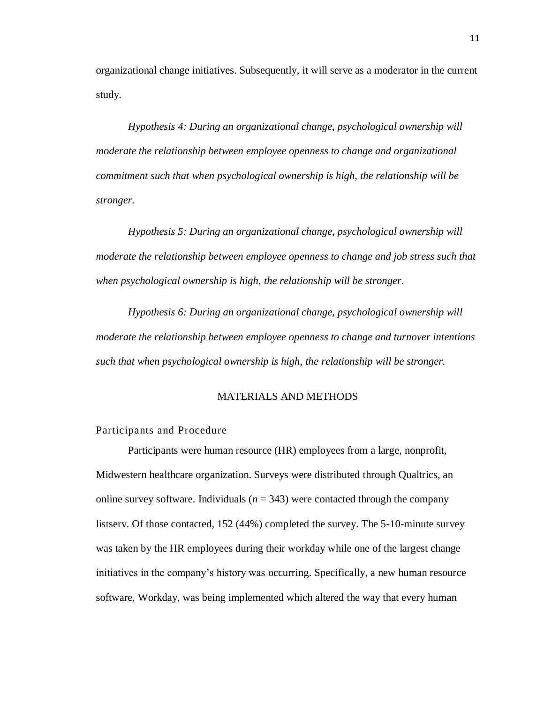organizational change initiatives. Subsequently, it will serve as a moderator in the current study.

*Hypothesis 4: During an organizational change, psychological ownership will moderate the relationship between employee openness to change and organizational commitment such that when psychological ownership is high, the relationship will be stronger.* 

*Hypothesis 5: During an organizational change, psychological ownership will moderate the relationship between employee openness to change and job stress such that when psychological ownership is high, the relationship will be stronger.* 

*Hypothesis 6: During an organizational change, psychological ownership will moderate the relationship between employee openness to change and turnover intentions such that when psychological ownership is high, the relationship will be stronger.* 

#### MATERIALS AND METHODS

### <span id="page-20-0"></span>Participants and Procedure

Participants were human resource (HR) employees from a large, nonprofit, Midwestern healthcare organization. Surveys were distributed through Qualtrics, an online survey software. Individuals  $(n = 343)$  were contacted through the company listserv. Of those contacted, 152 (44%) completed the survey. The 5-10-minute survey was taken by the HR employees during their workday while one of the largest change initiatives in the company's history was occurring. Specifically, a new human resource software, Workday, was being implemented which altered the way that every human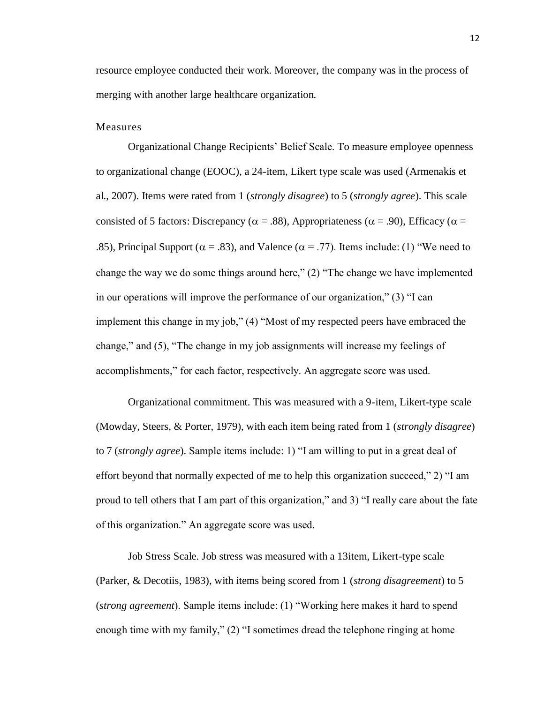resource employee conducted their work. Moreover, the company was in the process of merging with another large healthcare organization.

## Measures

Organizational Change Recipients' Belief Scale. To measure employee openness to organizational change (EOOC), a 24-item, Likert type scale was used (Armenakis et al., 2007). Items were rated from 1 (*strongly disagree*) to 5 (*strongly agree*). This scale consisted of 5 factors: Discrepancy ( $\alpha = .88$ ), Appropriateness ( $\alpha = .90$ ), Efficacy ( $\alpha =$ .85), Principal Support ( $\alpha = .83$ ), and Valence ( $\alpha = .77$ ). Items include: (1) "We need to change the way we do some things around here," (2) "The change we have implemented in our operations will improve the performance of our organization," (3) "I can implement this change in my job," (4) "Most of my respected peers have embraced the change," and (5), "The change in my job assignments will increase my feelings of accomplishments," for each factor, respectively. An aggregate score was used.

Organizational commitment. This was measured with a 9-item, Likert-type scale (Mowday, Steers, & Porter, 1979), with each item being rated from 1 (*strongly disagree*) to 7 (*strongly agree*). Sample items include: 1) "I am willing to put in a great deal of effort beyond that normally expected of me to help this organization succeed," 2) "I am proud to tell others that I am part of this organization," and 3) "I really care about the fate of this organization." An aggregate score was used.

Job Stress Scale. Job stress was measured with a 13item, Likert-type scale (Parker, & Decotiis, 1983), with items being scored from 1 (*strong disagreement*) to 5 (*strong agreement*). Sample items include: (1) "Working here makes it hard to spend enough time with my family," (2) "I sometimes dread the telephone ringing at home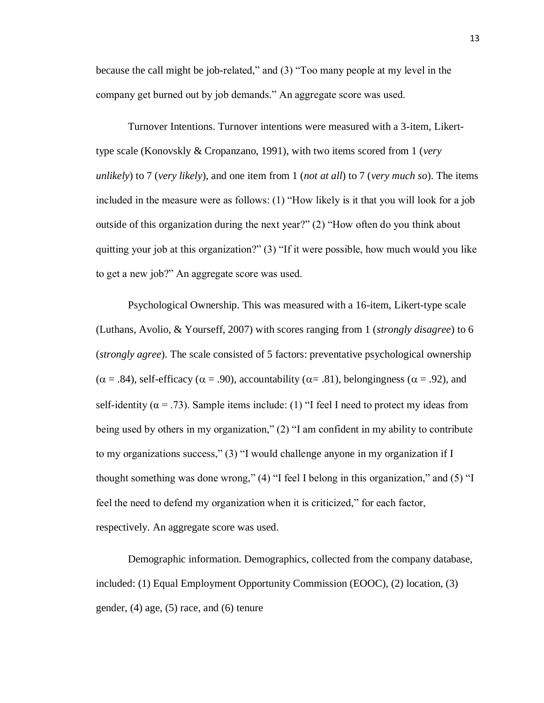because the call might be job-related," and (3) "Too many people at my level in the company get burned out by job demands." An aggregate score was used.

Turnover Intentions. Turnover intentions were measured with a 3-item, Likerttype scale (Konovskly & Cropanzano, 1991), with two items scored from 1 (*very unlikely*) to 7 (*very likely*), and one item from 1 (*not at all*) to 7 (*very much so*). The items included in the measure were as follows: (1) "How likely is it that you will look for a job outside of this organization during the next year?" (2) "How often do you think about quitting your job at this organization?" (3) "If it were possible, how much would you like to get a new job?" An aggregate score was used.

Psychological Ownership. This was measured with a 16-item, Likert-type scale (Luthans, Avolio, & Yourseff, 2007) with scores ranging from 1 (*strongly disagree*) to 6 (*strongly agree*). The scale consisted of 5 factors: preventative psychological ownership  $(\alpha = .84)$ , self-efficacy ( $\alpha = .90$ ), accountability ( $\alpha = .81$ ), belongingness ( $\alpha = .92$ ), and self-identity ( $\alpha$  = .73). Sample items include: (1) "I feel I need to protect my ideas from being used by others in my organization," (2) "I am confident in my ability to contribute to my organizations success," (3) "I would challenge anyone in my organization if I thought something was done wrong," (4) "I feel I belong in this organization," and (5) "I feel the need to defend my organization when it is criticized," for each factor, respectively. An aggregate score was used.

Demographic information. Demographics, collected from the company database, included: (1) Equal Employment Opportunity Commission (EOOC), (2) location, (3) gender,  $(4)$  age,  $(5)$  race, and  $(6)$  tenure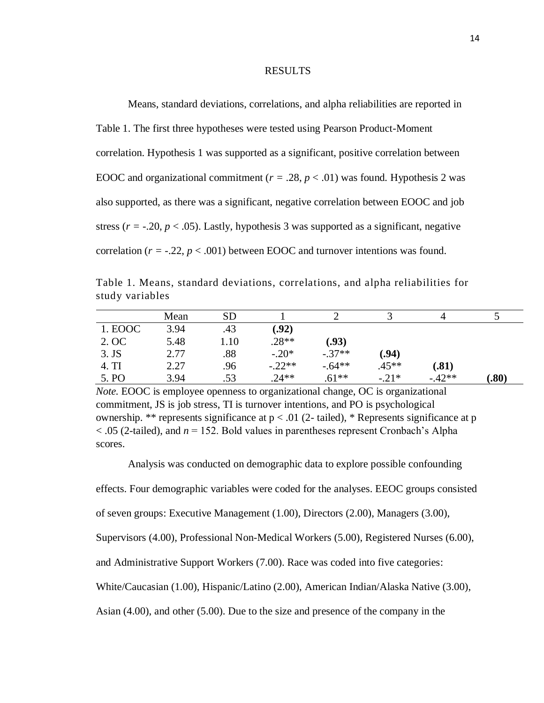#### RESULTS

<span id="page-23-0"></span>Means, standard deviations, correlations, and alpha reliabilities are reported in Table 1. The first three hypotheses were tested using Pearson Product-Moment correlation. Hypothesis 1 was supported as a significant, positive correlation between EOOC and organizational commitment ( $r = .28$ ,  $p < .01$ ) was found. Hypothesis 2 was also supported, as there was a significant, negative correlation between EOOC and job stress ( $r = -20$ ,  $p < .05$ ). Lastly, hypothesis 3 was supported as a significant, negative correlation  $(r = -0.22, p < 0.001)$  between EOOC and turnover intentions was found.

Table 1. Means, standard deviations, correlations, and alpha reliabilities for study variables

|         | Mean | <b>SD</b> |          |          |         |          |       |
|---------|------|-----------|----------|----------|---------|----------|-------|
| 1. EOOC | 3.94 | .43       | (0.92)   |          |         |          |       |
| 2. OC   | 5.48 | 10        | $.28**$  | (0.93)   |         |          |       |
| $3.$ JS | 2.77 | .88       | $-.20*$  | $-.37**$ | .94)    |          |       |
| 4. TI   | 2.27 | .96       | $-.22**$ | $-.64**$ | $.45**$ | (.81)    |       |
| 5. PO   | 3.94 | .53       | $.24**$  | $.61**$  | $-.21*$ | $-.42**$ | (.80) |

*Note.* EOOC is employee openness to organizational change, OC is organizational commitment, JS is job stress, TI is turnover intentions, and PO is psychological ownership. \*\* represents significance at  $p < .01$  (2- tailed), \* Represents significance at p  $<$  0.05 (2-tailed), and  $n = 152$ . Bold values in parentheses represent Cronbach's Alpha scores.

Analysis was conducted on demographic data to explore possible confounding

effects. Four demographic variables were coded for the analyses. EEOC groups consisted

of seven groups: Executive Management (1.00), Directors (2.00), Managers (3.00),

Supervisors (4.00), Professional Non-Medical Workers (5.00), Registered Nurses (6.00),

and Administrative Support Workers (7.00). Race was coded into five categories:

White/Caucasian (1.00), Hispanic/Latino (2.00), American Indian/Alaska Native (3.00),

Asian (4.00), and other (5.00). Due to the size and presence of the company in the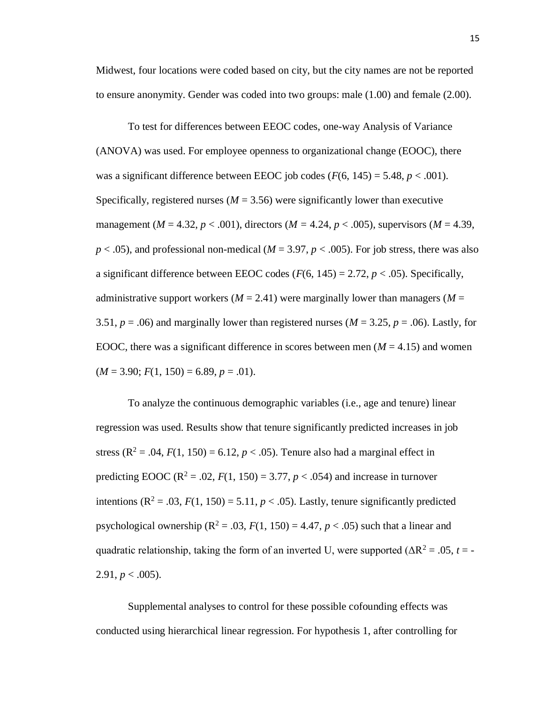Midwest, four locations were coded based on city, but the city names are not be reported to ensure anonymity. Gender was coded into two groups: male (1.00) and female (2.00).

To test for differences between EEOC codes, one-way Analysis of Variance (ANOVA) was used. For employee openness to organizational change (EOOC), there was a significant difference between EEOC job codes  $(F(6, 145) = 5.48, p < .001)$ . Specifically, registered nurses  $(M = 3.56)$  were significantly lower than executive management (*M* = 4.32, *p* < .001), directors (*M =* 4.24, *p* < .005), supervisors (*M* = 4.39,  $p < .05$ ), and professional non-medical ( $M = 3.97$ ,  $p < .005$ ). For job stress, there was also a significant difference between EEOC codes  $(F(6, 145) = 2.72, p < .05)$ . Specifically, administrative support workers  $(M = 2.41)$  were marginally lower than managers  $(M = 1.41)$ 3.51,  $p = .06$ ) and marginally lower than registered nurses ( $M = 3.25$ ,  $p = .06$ ). Lastly, for EOOC, there was a significant difference in scores between men  $(M = 4.15)$  and women  $(M = 3.90; F(1, 150) = 6.89, p = .01).$ 

To analyze the continuous demographic variables (i.e., age and tenure) linear regression was used. Results show that tenure significantly predicted increases in job stress ( $R^2 = .04$ ,  $F(1, 150) = 6.12$ ,  $p < .05$ ). Tenure also had a marginal effect in predicting EOOC ( $R^2 = .02$ ,  $F(1, 150) = 3.77$ ,  $p < .054$ ) and increase in turnover intentions  $(R^2 = .03, F(1, 150) = 5.11, p < .05)$ . Lastly, tenure significantly predicted psychological ownership  $(R^2 = .03, F(1, 150) = 4.47, p < .05)$  such that a linear and quadratic relationship, taking the form of an inverted U, were supported ( $\Delta R^2 = .05$ ,  $t = -$ 2.91,  $p < .005$ ).

Supplemental analyses to control for these possible cofounding effects was conducted using hierarchical linear regression. For hypothesis 1, after controlling for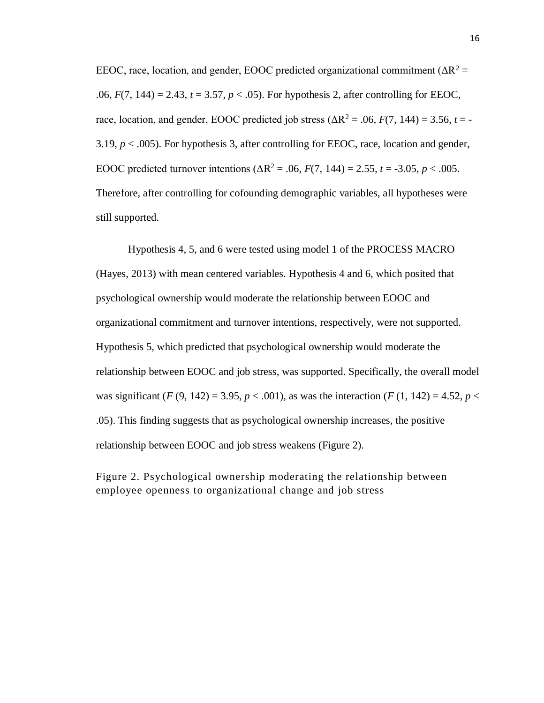EEOC, race, location, and gender, EOOC predicted organizational commitment ( $\Delta R^2$  = .06, *F*(7, 144) = 2.43, *t* = 3.57, *p* < .05). For hypothesis 2, after controlling for EEOC, race, location, and gender, EOOC predicted job stress ( $\Delta R^2 = .06$ ,  $F(7, 144) = 3.56$ ,  $t = -$ 3.19,  $p < .005$ ). For hypothesis 3, after controlling for EEOC, race, location and gender, EOOC predicted turnover intentions ( $\Delta R^2 = .06$ ,  $F(7, 144) = 2.55$ ,  $t = -3.05$ ,  $p < .005$ . Therefore, after controlling for cofounding demographic variables, all hypotheses were still supported.

Hypothesis 4, 5, and 6 were tested using model 1 of the PROCESS MACRO (Hayes, 2013) with mean centered variables. Hypothesis 4 and 6, which posited that psychological ownership would moderate the relationship between EOOC and organizational commitment and turnover intentions, respectively, were not supported. Hypothesis 5, which predicted that psychological ownership would moderate the relationship between EOOC and job stress, was supported. Specifically, the overall model was significant  $(F(9, 142) = 3.95, p < .001)$ , as was the interaction  $(F(1, 142) = 4.52, p < .001)$ .05). This finding suggests that as psychological ownership increases, the positive relationship between EOOC and job stress weakens (Figure 2).

Figure 2. Psychological ownership moderating the relationship between employee openness to organizational change and job stress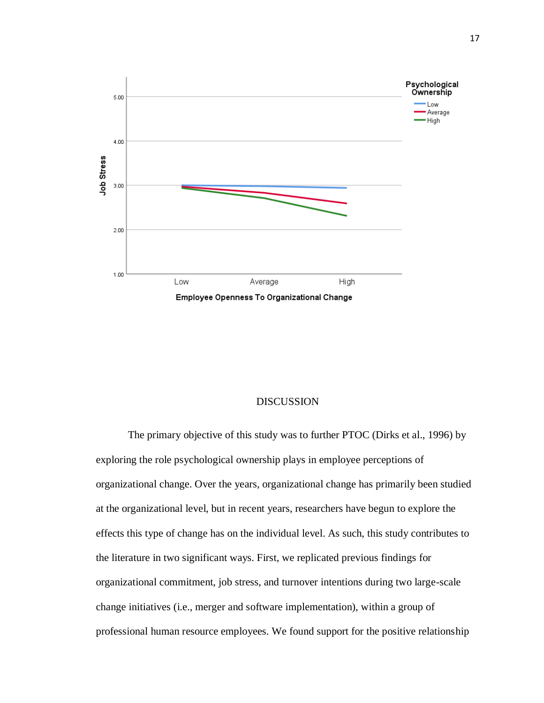

# DISCUSSION

<span id="page-26-0"></span>The primary objective of this study was to further PTOC (Dirks et al., 1996) by exploring the role psychological ownership plays in employee perceptions of organizational change. Over the years, organizational change has primarily been studied at the organizational level, but in recent years, researchers have begun to explore the effects this type of change has on the individual level. As such, this study contributes to the literature in two significant ways. First, we replicated previous findings for organizational commitment, job stress, and turnover intentions during two large-scale change initiatives (i.e., merger and software implementation), within a group of professional human resource employees. We found support for the positive relationship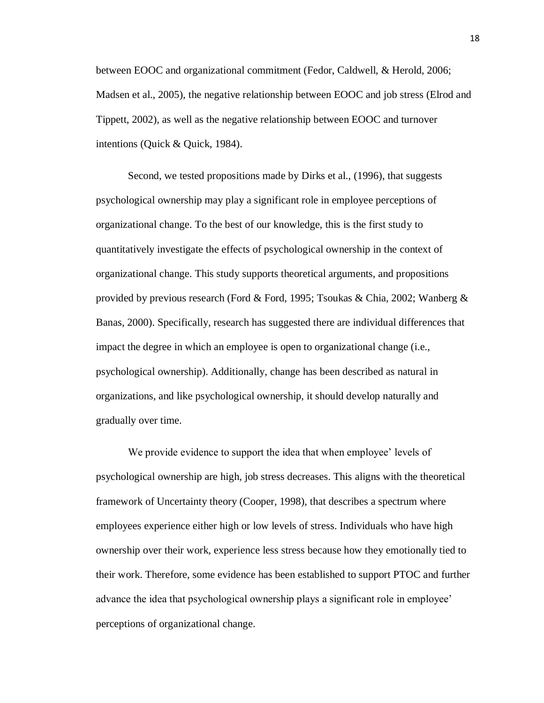between EOOC and organizational commitment (Fedor, Caldwell, & Herold, 2006; Madsen et al., 2005), the negative relationship between EOOC and job stress (Elrod and Tippett, 2002), as well as the negative relationship between EOOC and turnover intentions (Quick & Quick, 1984).

Second, we tested propositions made by Dirks et al., (1996), that suggests psychological ownership may play a significant role in employee perceptions of organizational change. To the best of our knowledge, this is the first study to quantitatively investigate the effects of psychological ownership in the context of organizational change. This study supports theoretical arguments, and propositions provided by previous research (Ford & Ford, 1995; Tsoukas & Chia, 2002; Wanberg & Banas, 2000). Specifically, research has suggested there are individual differences that impact the degree in which an employee is open to organizational change (i.e., psychological ownership). Additionally, change has been described as natural in organizations, and like psychological ownership, it should develop naturally and gradually over time.

We provide evidence to support the idea that when employee' levels of psychological ownership are high, job stress decreases. This aligns with the theoretical framework of Uncertainty theory (Cooper, 1998), that describes a spectrum where employees experience either high or low levels of stress. Individuals who have high ownership over their work, experience less stress because how they emotionally tied to their work. Therefore, some evidence has been established to support PTOC and further advance the idea that psychological ownership plays a significant role in employee' perceptions of organizational change.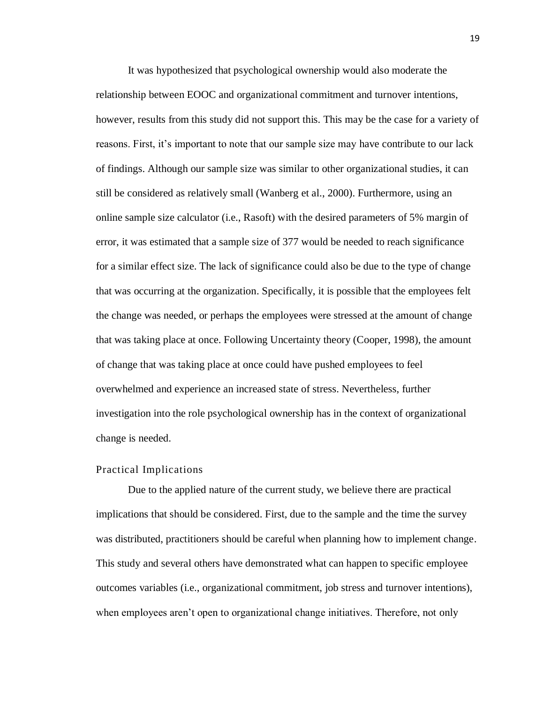It was hypothesized that psychological ownership would also moderate the relationship between EOOC and organizational commitment and turnover intentions, however, results from this study did not support this. This may be the case for a variety of reasons. First, it's important to note that our sample size may have contribute to our lack of findings. Although our sample size was similar to other organizational studies, it can still be considered as relatively small (Wanberg et al., 2000). Furthermore, using an online sample size calculator (i.e., Rasoft) with the desired parameters of 5% margin of error, it was estimated that a sample size of 377 would be needed to reach significance for a similar effect size. The lack of significance could also be due to the type of change that was occurring at the organization. Specifically, it is possible that the employees felt the change was needed, or perhaps the employees were stressed at the amount of change that was taking place at once. Following Uncertainty theory (Cooper, 1998), the amount of change that was taking place at once could have pushed employees to feel overwhelmed and experience an increased state of stress. Nevertheless, further investigation into the role psychological ownership has in the context of organizational change is needed.

#### Practical Implications

Due to the applied nature of the current study, we believe there are practical implications that should be considered. First, due to the sample and the time the survey was distributed, practitioners should be careful when planning how to implement change. This study and several others have demonstrated what can happen to specific employee outcomes variables (i.e., organizational commitment, job stress and turnover intentions), when employees aren't open to organizational change initiatives. Therefore, not only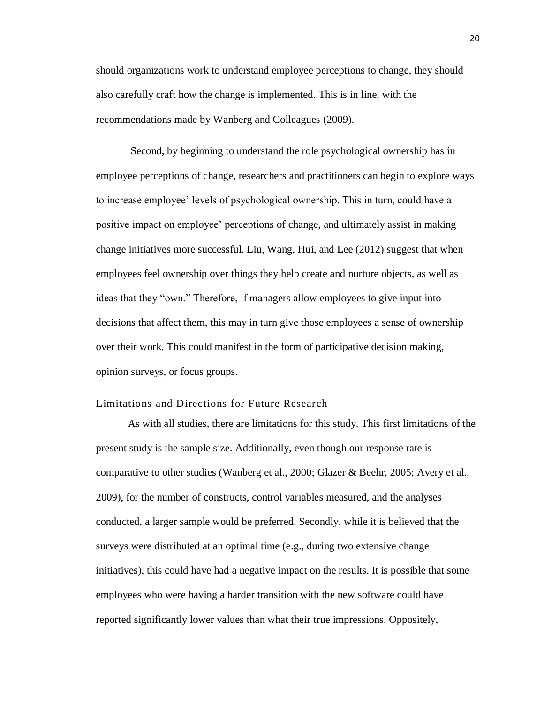should organizations work to understand employee perceptions to change, they should also carefully craft how the change is implemented. This is in line, with the recommendations made by Wanberg and Colleagues (2009).

Second, by beginning to understand the role psychological ownership has in employee perceptions of change, researchers and practitioners can begin to explore ways to increase employee' levels of psychological ownership. This in turn, could have a positive impact on employee' perceptions of change, and ultimately assist in making change initiatives more successful. Liu, Wang, Hui, and Lee (2012) suggest that when employees feel ownership over things they help create and nurture objects, as well as ideas that they "own." Therefore, if managers allow employees to give input into decisions that affect them, this may in turn give those employees a sense of ownership over their work. This could manifest in the form of participative decision making, opinion surveys, or focus groups.

#### Limitations and Directions for Future Research

As with all studies, there are limitations for this study. This first limitations of the present study is the sample size. Additionally, even though our response rate is comparative to other studies (Wanberg et al., 2000; Glazer & Beehr, 2005; Avery et al., 2009), for the number of constructs, control variables measured, and the analyses conducted, a larger sample would be preferred. Secondly, while it is believed that the surveys were distributed at an optimal time (e.g., during two extensive change initiatives), this could have had a negative impact on the results. It is possible that some employees who were having a harder transition with the new software could have reported significantly lower values than what their true impressions. Oppositely,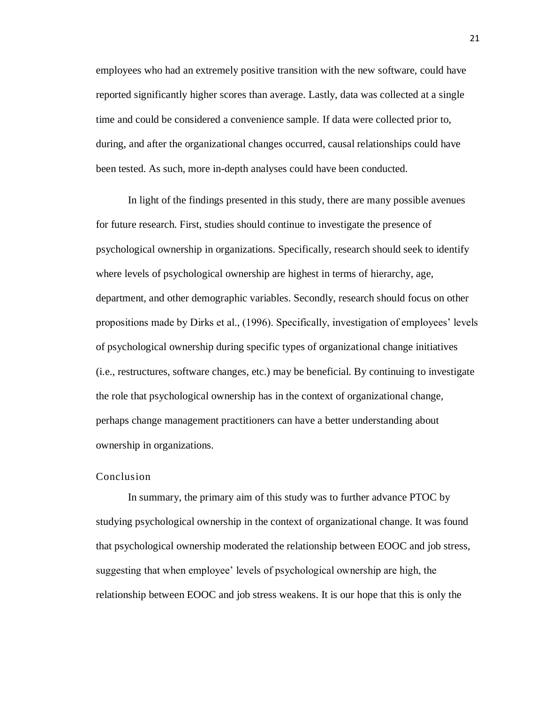employees who had an extremely positive transition with the new software, could have reported significantly higher scores than average. Lastly, data was collected at a single time and could be considered a convenience sample. If data were collected prior to, during, and after the organizational changes occurred, causal relationships could have been tested. As such, more in-depth analyses could have been conducted.

In light of the findings presented in this study, there are many possible avenues for future research. First, studies should continue to investigate the presence of psychological ownership in organizations. Specifically, research should seek to identify where levels of psychological ownership are highest in terms of hierarchy, age, department, and other demographic variables. Secondly, research should focus on other propositions made by Dirks et al., (1996). Specifically, investigation of employees' levels of psychological ownership during specific types of organizational change initiatives (i.e., restructures, software changes, etc.) may be beneficial. By continuing to investigate the role that psychological ownership has in the context of organizational change, perhaps change management practitioners can have a better understanding about ownership in organizations.

#### Conclusion

In summary, the primary aim of this study was to further advance PTOC by studying psychological ownership in the context of organizational change. It was found that psychological ownership moderated the relationship between EOOC and job stress, suggesting that when employee' levels of psychological ownership are high, the relationship between EOOC and job stress weakens. It is our hope that this is only the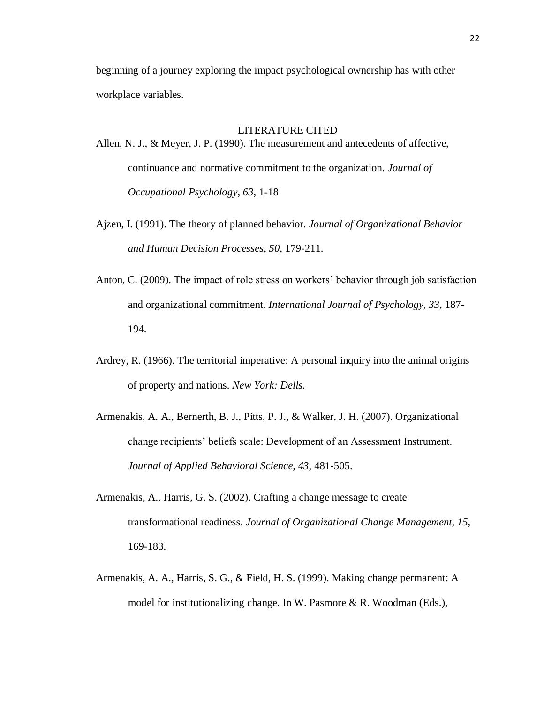beginning of a journey exploring the impact psychological ownership has with other workplace variables.

#### LITERATURE CITED

<span id="page-31-0"></span>Allen, N. J., & Meyer, J. P. (1990). The measurement and antecedents of affective, continuance and normative commitment to the organization. *Journal of Occupational Psychology, 63,* 1-18

- Ajzen, I. (1991). The theory of planned behavior. *Journal of Organizational Behavior and Human Decision Processes, 50,* 179-211.
- Anton, C. (2009). The impact of role stress on workers' behavior through job satisfaction and organizational commitment. *International Journal of Psychology, 33,* 187- 194.
- Ardrey, R. (1966). The territorial imperative: A personal inquiry into the animal origins of property and nations. *New York: Dells.*
- Armenakis, A. A., Bernerth, B. J., Pitts, P. J., & Walker, J. H. (2007). Organizational change recipients' beliefs scale: Development of an Assessment Instrument. *Journal of Applied Behavioral Science, 43,* 481-505.
- Armenakis, A., Harris, G. S. (2002). Crafting a change message to create transformational readiness. *Journal of Organizational Change Management, 15,*  169-183.
- Armenakis, A. A., Harris, S. G., & Field, H. S. (1999). Making change permanent: A model for institutionalizing change. In W. Pasmore & R. Woodman (Eds.),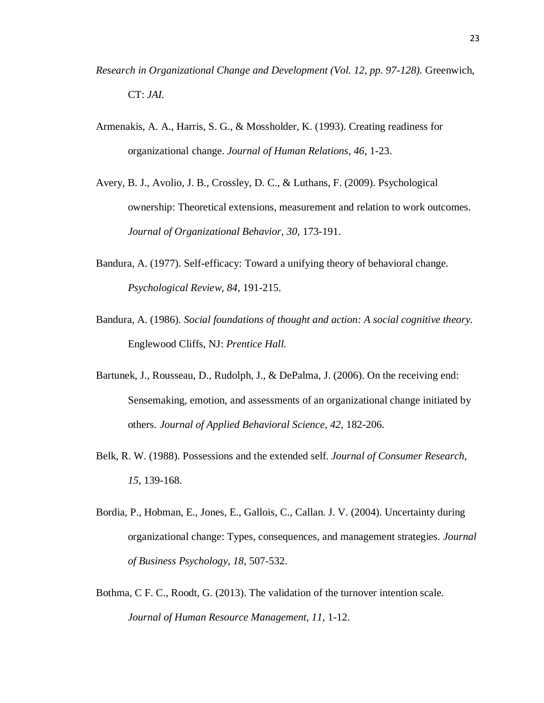- *Research in Organizational Change and Development (Vol. 12, pp. 97-128).* Greenwich, CT: *JAI.*
- Armenakis, A. A., Harris, S. G., & Mossholder, K. (1993). Creating readiness for organizational change. *Journal of Human Relations, 46,* 1-23.
- Avery, B. J., Avolio, J. B., Crossley, D. C., & Luthans, F. (2009). Psychological ownership: Theoretical extensions, measurement and relation to work outcomes. *Journal of Organizational Behavior, 30,* 173-191.
- Bandura, A. (1977). Self-efficacy: Toward a unifying theory of behavioral change. *Psychological Review, 84,* 191-215.
- Bandura, A. (1986). *Social foundations of thought and action: A social cognitive theory.*  Englewood Cliffs, NJ: *Prentice Hall.*
- Bartunek, J., Rousseau, D., Rudolph, J., & DePalma, J. (2006). On the receiving end: Sensemaking, emotion, and assessments of an organizational change initiated by others. *Journal of Applied Behavioral Science, 42,* 182-206.
- Belk, R. W. (1988). Possessions and the extended self. *Journal of Consumer Research, 15,* 139-168.
- Bordia, P., Hobman, E., Jones, E., Gallois, C., Callan. J. V. (2004). Uncertainty during organizational change: Types, consequences, and management strategies. *Journal of Business Psychology, 18,* 507-532.
- Bothma, C F. C., Roodt, G. (2013). The validation of the turnover intention scale. *Journal of Human Resource Management, 11,* 1-12.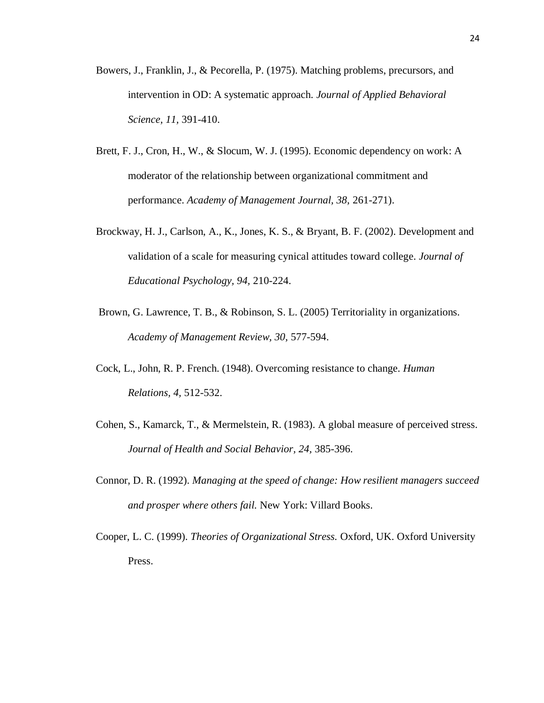- Bowers, J., Franklin, J., & Pecorella, P. (1975). Matching problems, precursors, and intervention in OD: A systematic approach. *Journal of Applied Behavioral Science, 11,* 391-410.
- Brett, F. J., Cron, H., W., & Slocum, W. J. (1995). Economic dependency on work: A moderator of the relationship between organizational commitment and performance. *Academy of Management Journal, 38,* 261-271).
- Brockway, H. J., Carlson, A., K., Jones, K. S., & Bryant, B. F. (2002). Development and validation of a scale for measuring cynical attitudes toward college. *Journal of Educational Psychology, 94,* 210-224.
- Brown, G. Lawrence, T. B., & Robinson, S. L. (2005) Territoriality in organizations. *Academy of Management Review, 30,* 577-594.
- Cock, L., John, R. P. French. (1948). Overcoming resistance to change. *Human Relations, 4,* 512-532.
- Cohen, S., Kamarck, T., & Mermelstein, R. (1983). A global measure of perceived stress. *Journal of Health and Social Behavior, 24,* 385-396.
- Connor, D. R. (1992). *Managing at the speed of change: How resilient managers succeed and prosper where others fail.* New York: Villard Books.
- Cooper, L. C. (1999). *Theories of Organizational Stress.* Oxford, UK. Oxford University Press.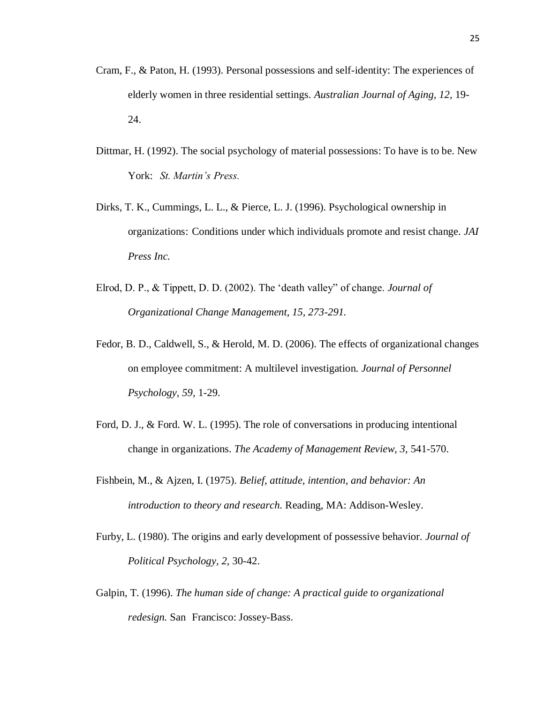- Cram, F., & Paton, H. (1993). Personal possessions and self-identity: The experiences of elderly women in three residential settings. *Australian Journal of Aging, 12,* 19- 24.
- Dittmar, H. (1992). The social psychology of material possessions: To have is to be. New York: *St. Martin's Press.*
- Dirks, T. K., Cummings, L. L., & Pierce, L. J. (1996). Psychological ownership in organizations: Conditions under which individuals promote and resist change. *JAI Press Inc.*
- Elrod, D. P., & Tippett, D. D. (2002). The 'death valley" of change. *Journal of Organizational Change Management, 15, 273-291.*
- Fedor, B. D., Caldwell, S., & Herold, M. D. (2006). The effects of organizational changes on employee commitment: A multilevel investigation. *Journal of Personnel Psychology, 59,* 1-29.
- Ford, D. J., & Ford. W. L. (1995). The role of conversations in producing intentional change in organizations. *The Academy of Management Review, 3,* 541-570.
- Fishbein, M., & Ajzen, I. (1975). *Belief, attitude, intention, and behavior: An introduction to theory and research.* Reading, MA: Addison-Wesley.
- Furby, L. (1980). The origins and early development of possessive behavior. *Journal of Political Psychology, 2,* 30-42.
- Galpin, T. (1996). *The human side of change: A practical guide to organizational redesign.* San Francisco: Jossey-Bass.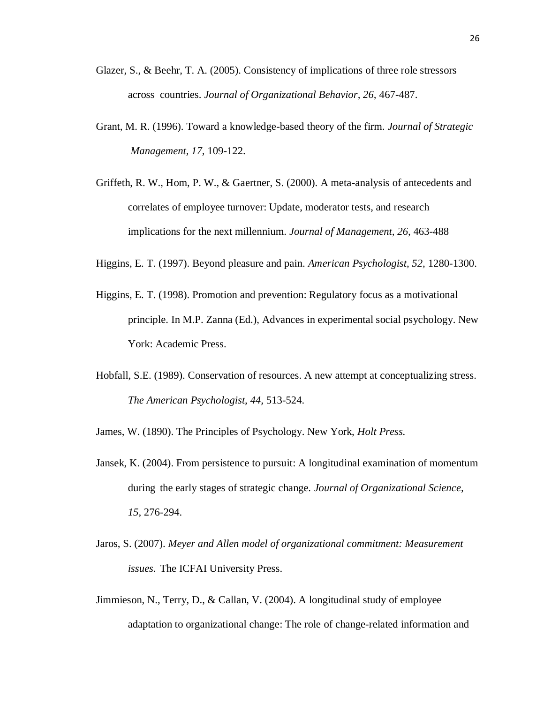- Glazer, S., & Beehr, T. A. (2005). Consistency of implications of three role stressors across countries. *Journal of Organizational Behavior, 26,* 467-487.
- Grant, M. R. (1996). Toward a knowledge-based theory of the firm. *Journal of Strategic Management, 17,* 109-122.
- Griffeth, R. W., Hom, P. W., & Gaertner, S. (2000). A meta-analysis of antecedents and correlates of employee turnover: Update, moderator tests, and research implications for the next millennium. *Journal of Management, 26,* 463-488
- Higgins, E. T. (1997). Beyond pleasure and pain. *American Psychologist, 52,* 1280-1300.
- Higgins, E. T. (1998). Promotion and prevention: Regulatory focus as a motivational principle. In M.P. Zanna (Ed.), Advances in experimental social psychology. New York: Academic Press.
- Hobfall, S.E. (1989). Conservation of resources. A new attempt at conceptualizing stress. *The American Psychologist, 44,* 513-524.

James, W. (1890). The Principles of Psychology. New York, *Holt Press.* 

- Jansek, K. (2004). From persistence to pursuit: A longitudinal examination of momentum during the early stages of strategic change. *Journal of Organizational Science, 15,* 276-294.
- Jaros, S. (2007). *Meyer and Allen model of organizational commitment: Measurement issues.* The ICFAI University Press.
- Jimmieson, N., Terry, D., & Callan, V. (2004). A longitudinal study of employee adaptation to organizational change: The role of change-related information and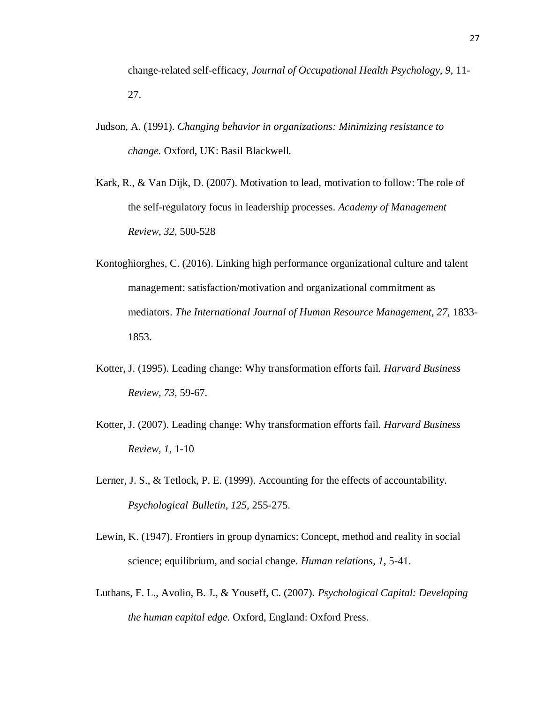change-related self-efficacy, *Journal of Occupational Health Psychology, 9,* 11- 27.

- Judson, A. (1991). *Changing behavior in organizations: Minimizing resistance to change.* Oxford, UK: Basil Blackwell.
- Kark, R., & Van Dijk, D. (2007). Motivation to lead, motivation to follow: The role of the self-regulatory focus in leadership processes. *Academy of Management Review, 32,* 500-528
- Kontoghiorghes, C. (2016). Linking high performance organizational culture and talent management: satisfaction/motivation and organizational commitment as mediators. *The International Journal of Human Resource Management*, 27, 1833-1853.
- Kotter, J. (1995). Leading change: Why transformation efforts fail. *Harvard Business Review, 73,* 59-67.
- Kotter, J. (2007). Leading change: Why transformation efforts fail. *Harvard Business Review, 1,* 1-10
- Lerner, J. S., & Tetlock, P. E. (1999). Accounting for the effects of accountability. *Psychological Bulletin, 125,* 255-275.
- Lewin, K. (1947). Frontiers in group dynamics: Concept, method and reality in social science; equilibrium, and social change. *Human relations, 1,* 5-41.
- Luthans, F. L., Avolio, B. J., & Youseff, C. (2007). *Psychological Capital: Developing the human capital edge.* Oxford, England: Oxford Press.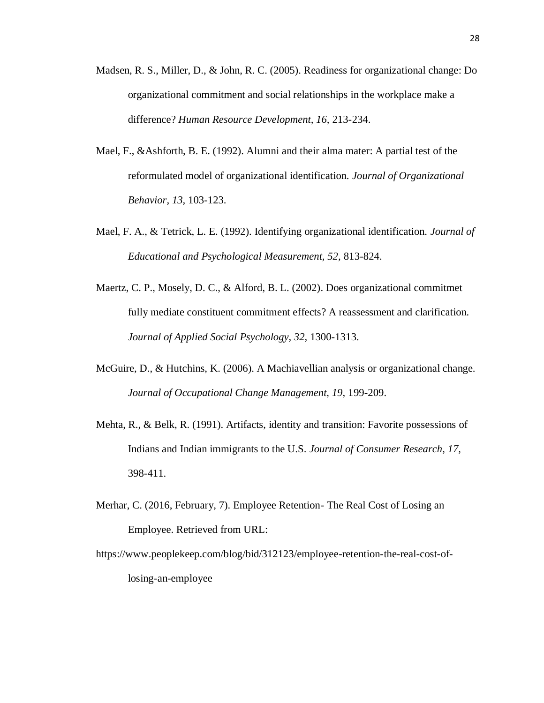- Madsen, R. S., Miller, D., & John, R. C. (2005). Readiness for organizational change: Do organizational commitment and social relationships in the workplace make a difference? *Human Resource Development, 16,* 213-234.
- Mael, F., &Ashforth, B. E. (1992). Alumni and their alma mater: A partial test of the reformulated model of organizational identification. *Journal of Organizational Behavior, 13,* 103-123.
- Mael, F. A., & Tetrick, L. E. (1992). Identifying organizational identification. *Journal of Educational and Psychological Measurement, 52,* 813-824.
- Maertz, C. P., Mosely, D. C., & Alford, B. L. (2002). Does organizational commitmet fully mediate constituent commitment effects? A reassessment and clarification. *Journal of Applied Social Psychology, 32,* 1300-1313.
- McGuire, D., & Hutchins, K. (2006). A Machiavellian analysis or organizational change. *Journal of Occupational Change Management, 19,* 199-209.
- Mehta, R., & Belk, R. (1991). Artifacts, identity and transition: Favorite possessions of Indians and Indian immigrants to the U.S. *Journal of Consumer Research, 17,*  398-411.
- Merhar, C. (2016, February, 7). Employee Retention- The Real Cost of Losing an Employee. Retrieved from URL:
- https://www.peoplekeep.com/blog/bid/312123/employee-retention-the-real-cost-oflosing-an-employee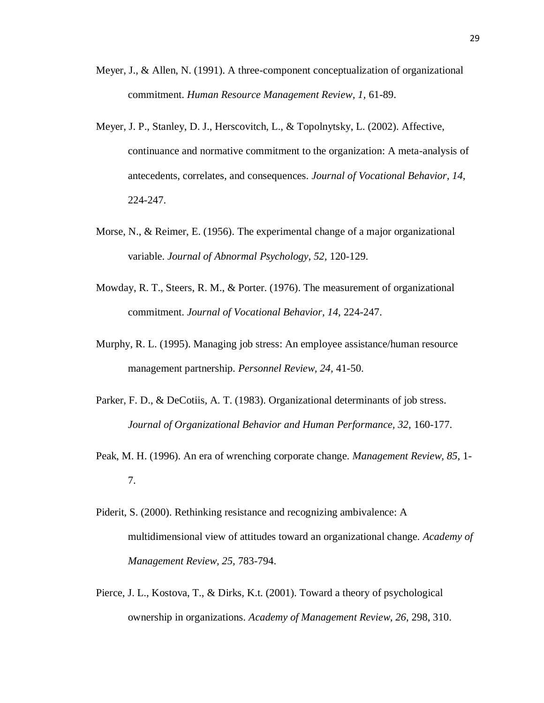- Meyer, J., & Allen, N. (1991). A three-component conceptualization of organizational commitment. *Human Resource Management Review, 1,* 61-89.
- Meyer, J. P., Stanley, D. J., Herscovitch, L., & Topolnytsky, L. (2002). Affective, continuance and normative commitment to the organization: A meta-analysis of antecedents, correlates, and consequences. *Journal of Vocational Behavior, 14,*  224-247.
- Morse, N., & Reimer, E. (1956). The experimental change of a major organizational variable. *Journal of Abnormal Psychology, 52,* 120-129.
- Mowday, R. T., Steers, R. M., & Porter. (1976). The measurement of organizational commitment. *Journal of Vocational Behavior, 14,* 224-247.
- Murphy, R. L. (1995). Managing job stress: An employee assistance/human resource management partnership. *Personnel Review, 24,* 41-50.
- Parker, F. D., & DeCotiis, A. T. (1983). Organizational determinants of job stress. *Journal of Organizational Behavior and Human Performance, 32,* 160-177.
- Peak, M. H. (1996). An era of wrenching corporate change. *Management Review, 85,* 1- 7.
- Piderit, S. (2000). Rethinking resistance and recognizing ambivalence: A multidimensional view of attitudes toward an organizational change. *Academy of Management Review, 25,* 783-794.
- Pierce, J. L., Kostova, T., & Dirks, K.t. (2001). Toward a theory of psychological ownership in organizations. *Academy of Management Review, 26,* 298, 310.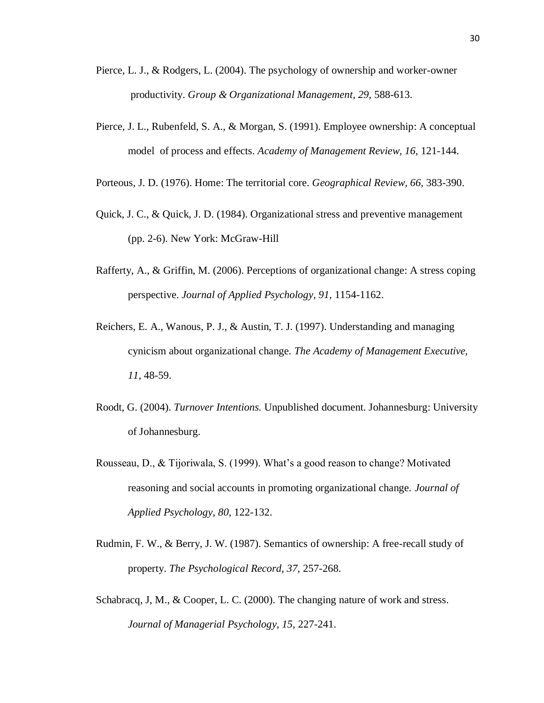- Pierce, L. J., & Rodgers, L. (2004). The psychology of ownership and worker-owner productivity. *Group & Organizational Management, 29,* 588-613.
- Pierce, J. L., Rubenfeld, S. A., & Morgan, S. (1991). Employee ownership: A conceptual model of process and effects. *Academy of Management Review, 16,* 121-144.
- Porteous, J. D. (1976). Home: The territorial core. *Geographical Review, 66,* 383-390.
- Quick, J. C., & Quick, J. D. (1984). Organizational stress and preventive management (pp. 2-6). New York: McGraw-Hill
- Rafferty, A., & Griffin, M. (2006). Perceptions of organizational change: A stress coping perspective. *Journal of Applied Psychology, 91,* 1154-1162.
- Reichers, E. A., Wanous, P. J., & Austin, T. J. (1997). Understanding and managing cynicism about organizational change. *The Academy of Management Executive, 11,* 48-59.
- Roodt, G. (2004). *Turnover Intentions.* Unpublished document. Johannesburg: University of Johannesburg.
- Rousseau, D., & Tijoriwala, S. (1999). What's a good reason to change? Motivated reasoning and social accounts in promoting organizational change. *Journal of Applied Psychology, 80,* 122-132.
- Rudmin, F. W., & Berry, J. W. (1987). Semantics of ownership: A free-recall study of property. *The Psychological Record, 37,* 257-268.
- Schabracq, J, M., & Cooper, L. C. (2000). The changing nature of work and stress. *Journal of Managerial Psychology, 15,* 227-241.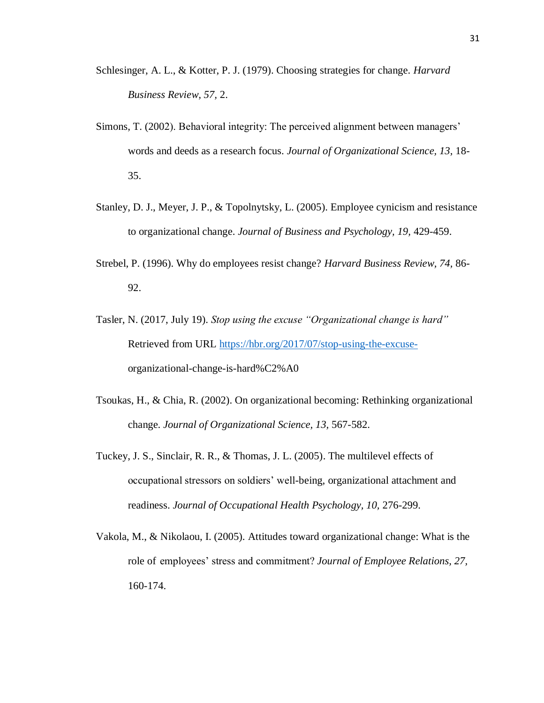- Schlesinger, A. L., & Kotter, P. J. (1979). Choosing strategies for change. *Harvard Business Review, 57,* 2.
- Simons, T. (2002). Behavioral integrity: The perceived alignment between managers' words and deeds as a research focus. *Journal of Organizational Science, 13,* 18- 35.
- Stanley, D. J., Meyer, J. P., & Topolnytsky, L. (2005). Employee cynicism and resistance to organizational change. *Journal of Business and Psychology, 19,* 429-459.
- Strebel, P. (1996). Why do employees resist change? *Harvard Business Review, 74,* 86- 92.
- Tasler, N. (2017, July 19). *Stop using the excuse "Organizational change is hard"*  Retrieved from URL [https://hbr.org/2017/07/stop-using-the-excuse](https://hbr.org/2017/07/stop-using-the-excuse-)organizational-change-is-hard%C2%A0
- Tsoukas, H., & Chia, R. (2002). On organizational becoming: Rethinking organizational change. *Journal of Organizational Science, 13,* 567-582.
- Tuckey, J. S., Sinclair, R. R., & Thomas, J. L. (2005). The multilevel effects of occupational stressors on soldiers' well-being, organizational attachment and readiness. *Journal of Occupational Health Psychology, 10,* 276-299.
- Vakola, M., & Nikolaou, I. (2005). Attitudes toward organizational change: What is the role of employees' stress and commitment? *Journal of Employee Relations, 27,*  160-174.